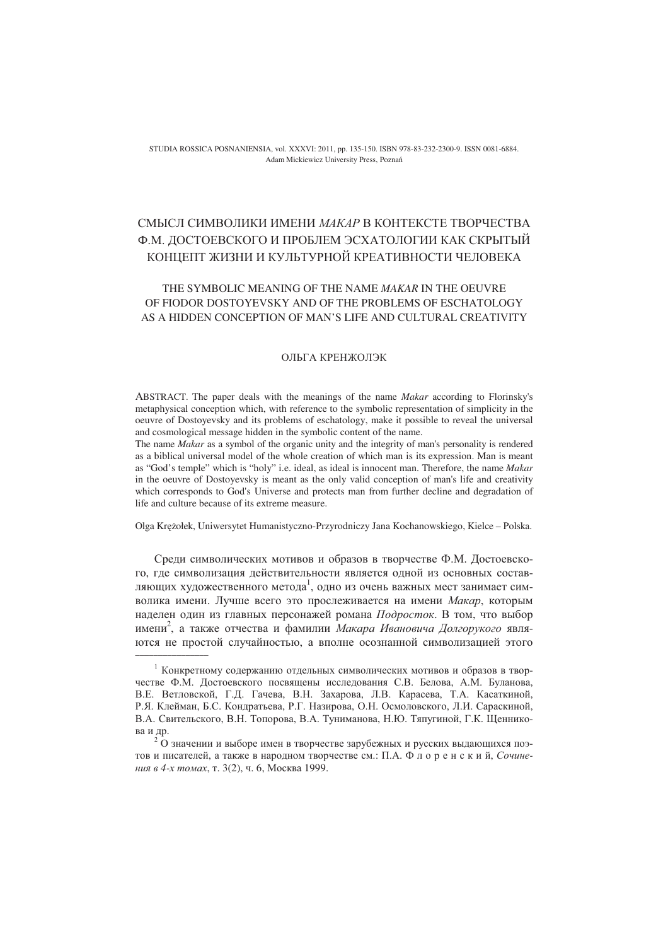STUDIA ROSSICA POSNANIENSIA, vol. XXXVI: 2011, pp. 135-150. ISBN 978-83-232-2300-9. ISSN 0081-6884. Adam Mickiewicz University Press, Pozna

# СМЫСЛ СИМВОЛИКИ ИМЕНИ МАКАР В КОНТЕКСТЕ ТВОРЧЕСТВА Ф.М. ДОСТОЕВСКОГО И ПРОБЛЕМ ЭСХАТОЛОГИИ КАК СКРЫТЫЙ КОНЦЕПТ ЖИЗНИ И КУЛЬТУРНОЙ КРЕАТИВНОСТИ ЧЕЛОВЕКА

## THE SYMBOLIC MEANING OF THE NAME *MAKAR* IN THE OEUVRE OF FIODOR DOSTOYEVSKY AND OF THE PROBLEMS OF ESCHATOLOGY AS A HIDDEN CONCEPTION OF MAN'S LIFE AND CULTURAL CREATIVITY

#### ОЛЬГА КРЕНЖОЛЭК

ABSTRACT. The paper deals with the meanings of the name *Makar* according to Florinsky's metaphysical conception which, with reference to the symbolic representation of simplicity in the oeuvre of Dostoyevsky and its problems of eschatology, make it possible to reveal the universal and cosmological message hidden in the symbolic content of the name.

The name *Makar* as a symbol of the organic unity and the integrity of man's personality is rendered as a biblical universal model of the whole creation of which man is its expression. Man is meant as "God's temple" which is "holy" i.e. ideal, as ideal is innocent man. Therefore, the name *Makar* in the oeuvre of Dostoyevsky is meant as the only valid conception of man's life and creativity which corresponds to God's Universe and protects man from further decline and degradation of life and culture because of its extreme measure.

Olga Krołek, Uniwersytet Humanistyczno-Przyrodniczy Jana Kochanowskiego, Kielce – Polska.

Среди символических мотивов и образов в творчестве Ф.М. Достоевского, где символизация действительности является одной из основных составляющих художественного метода $^{\rm l}$ , одно из очень важных мест занимает символика имени. Лучше всего это прослеживается на имени *Макар*, которым наделен один из главных персонажей романа Подросток. В том, что выбор имени<sup>2</sup>, а также отчества и фамилии *Макара Ивановича Долгорукого* являются не простой случайностью, а вполне осознанной символизацией этого \_\_\_\_\_\_\_\_\_\_\_\_\_\_\_\_

<sup>&</sup>lt;sup>1</sup> Конкретному содержанию отдельных символических мотивов и образов в творчестве Ф.М. Достоевского посвящены исследования С.В. Белова, А.М. Буланова, В.Е. Ветловской, Г.Д. Гачева, В.Н. Захарова, Л.В. Карасева, Т.А. Касаткиной, Р.Я. Клейман, Б.С. Кондратьева, Р.Г. Назирова, О.Н. Осмоловского, Л.И. Сараскиной, В.А. Свительского, В.Н. Топорова, В.А. Туниманова, Н.Ю. Тяпугиной, Г.К. Щенникова и др.

<sup>2</sup> О значении и выборе имен в творчестве зарубежных и русских выдающихся поэтов и писателей, а также в народном творчестве см.: П.А. Ф л о р е н с к и й, Сочинения в 4-х томах, т. 3(2), ч. 6, Москва 1999.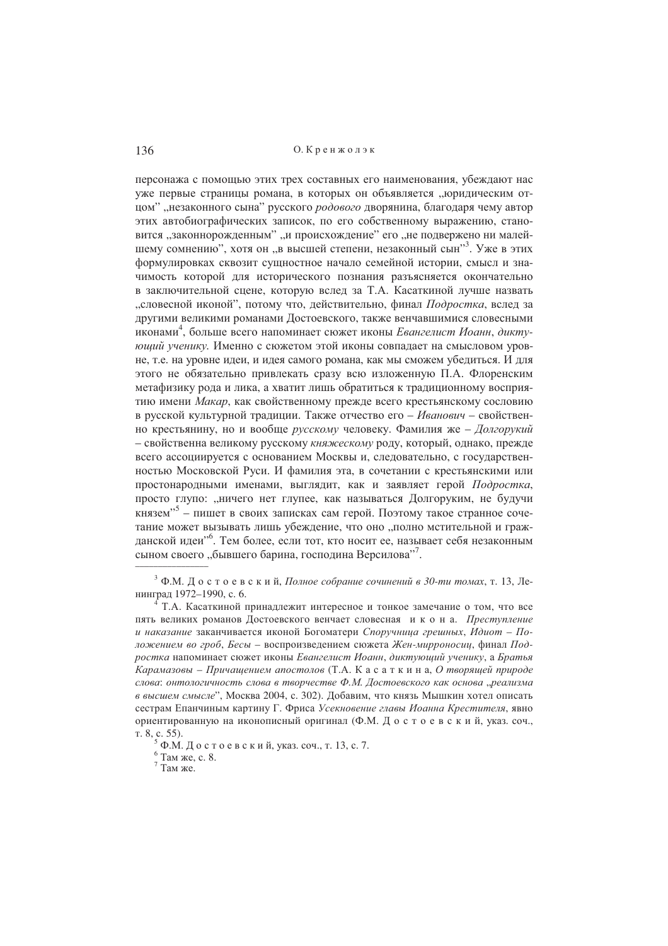персонажа с помощью этих трех составных его наименования, убеждают нас уже первые страницы романа, в которых он объявляется "юридическим отцом" "незаконного сына" русского родового дворянина, благодаря чему автор этих автобиографических записок, по его собственному выражению, становится "законнорожденным" "и происхождение" его "не подвержено ни малейшему сомнению", хотя он "в высшей степени, незаконный сын"<sup>3</sup>. Уже в этих формулировках сквозит сущностное начало семейной истории, смысл и значимость которой для исторического познания разъясняется окончательно в заключительной спене, которую вслел за Т.А. Касаткиной лучше назвать "словесной иконой", потому что, действительно, финал Подростка, вслед за другими великими романами Лостоевского, также венчавшимися словесными иконами<sup>4</sup>, больше всего напоминает сюжет иконы *Евангелист Иоанн*, диктуюший ученику. Именно с сюжетом этой иконы совпалает на смысловом уровне, т.е. на уровне идеи, и идея самого романа, как мы сможем убедиться. И для этого не обязательно привлекать сразу всю изложенную П.А. Флоренским метафизику рода и лика, а хватит лишь обратиться к традиционному восприятию имени Макар, как свойственному прежде всего крестьянскому сословию в русской культурной традиции. Также отчество его - Иванович - свойственно крестьянину, но и вообще русскому человеку. Фамилия же - Долгорукий - свойственна великому русскому княжескому роду, который, однако, прежде всего ассоциируется с основанием Москвы и, следовательно, с государственностью Московской Руси. И фамилия эта, в сочетании с крестьянскими или простонародными именами, выглядит, как и заявляет герой Подростка, просто глупо: "ничего нет глупее, как называться Долгоруким, не будучи князем"<sup>5</sup> – пишет в своих записках сам герой. Поэтому такое странное сочетание может вызывать лишь убеждение, что оно "полно мстительной и гражданской идеи"<sup>6</sup>. Тем более, если тот, кто носит ее, называет себя незаконным сыном своего "бывшего барина, господина Версилова"<sup>7</sup>.

<sup>&</sup>lt;sup>3</sup> Ф.М. Достоевский. Полное собрание сочинений в 30-ти томах. т. 13. Ленинград 1972-1990, с. б.

Т.А. Касаткиной принадлежит интересное и тонкое замечание о том, что все пять великих романов Достоевского венчает словесная и к о н а. Преступление и наказание заканчивается иконой Богоматери Споручница грешных, Идиот - Положением во гроб, Бесы - воспроизведением сюжета Жен-мирроносии, финал Подростка напоминает сюжет иконы Евангелист Иоанн, диктующий ученику, а Братья Карамазовы – Причащением апостолов (Т.А. К а с а т к и н а, О творящей природе слова: онтологичность слова в творчестве Ф.М. Достоевского как основа "реализма в высшем смысле", Москва 2004, с. 302). Добавим, что князь Мышкин хотел описать сестрам Епанчиным картину Г. Фриса Усекновение главы Иоанна Крестителя, явно ориентированную на иконописный оригинал (Ф.М. Достоевский, указ. соч., т. 8, с. 55).

Ф.М. Лостоевский, указ. соч., т. 13, с. 7.

 $6$  Там же, с. 8.

 $7 \frac{1 \text{ cm}}{1 \text{ cm}}$ же.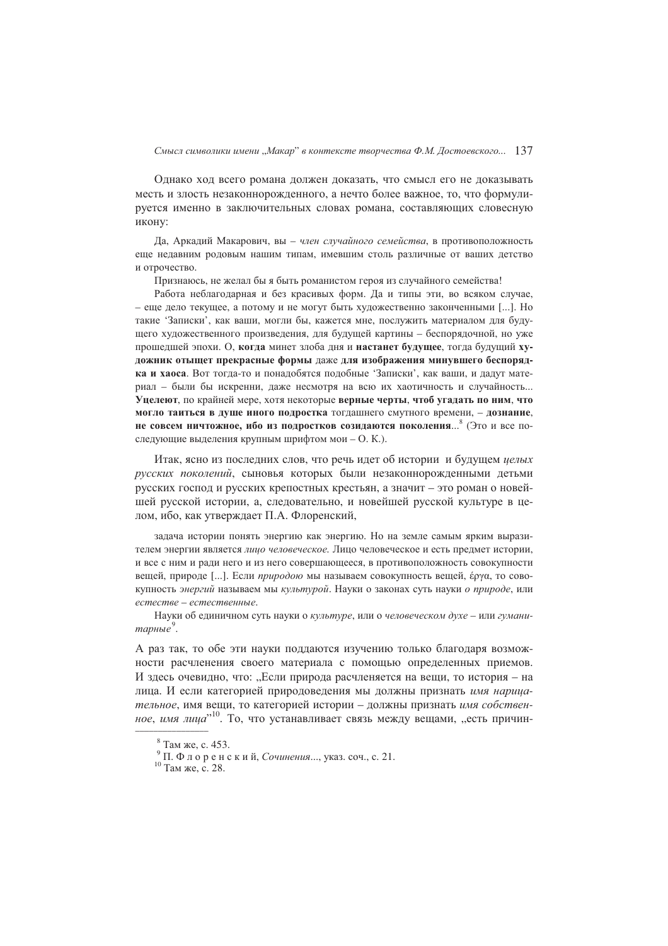Однако ход всего романа должен доказать, что смысл его не доказывать месть и злость незаконнорожденного, а нечто более важное, то, что формулируется именно в заключительных словах романа, составляющих словесную икону:

Да, Аркадий Макарович, вы - член случайного семейства, в противоположность еще недавним родовым нашим типам, имевшим столь различные от ваших детство и отрочество.

Признаюсь, не желал бы я быть романистом героя из случайного семейства!

Работа неблагодарная и без красивых форм. Да и типы эти, во всяком случае, - еще дело текущее, а потому и не могут быть художественно законченными [...]. Но такие 'Записки', как ваши, могли бы, кажется мне, послужить материалом для будущего художественного произведения, для будущей картины - беспорядочной, но уже прошедшей эпохи. О, когда минет злоба дня и настанет будущее, тогда будущий хуложник отышет прекрасные формы даже для изображения минувшего беспорядка и хаоса. Вот тогда-то и понадобятся подобные 'Записки', как ваши, и дадут материал - были бы искренни, даже несмотря на всю их хаотичность и случайность... Уцелеют, по крайней мере, хотя некоторые верные черты, чтоб угадать по ним, что могло таиться в душе иного подростка тогдашнего смутного времени, - дознание, не совсем ничтожное, ибо из полростков созилаются поколения...<sup>8</sup> (Это и все последующие выделения крупным шрифтом мои - О. К.).

Итак, ясно из последних слов, что речь идет об истории и будущем целых русских поколений, сыновья которых были незаконнорожденными детьми русских господ и русских крепостных крестьян, а значит - это роман о новейшей русской истории, а, следовательно, и новейшей русской культуре в целом, ибо, как утверждает П.А. Флоренский,

залача истории понять энергию как энергию. Но на земле самым ярким выразителем энергии является лицо человеческое. Липо человеческое и есть прелмет истории. и все с ним и ради него и из него совершающееся, в противоположность совокупности вещей, природе [...]. Если природою мы называем совокупность вещей, е́руа, то совокупность энергий называем мы культурой. Науки о законах суть науки о природе, или естестве - естественные.

Науки об елиничном суть науки о культуре, или о человеческом духе - или гуманитарные $\degree$ .

А раз так, то обе эти науки поддаются изучению только благодаря возможности расчленения своего материала с помощью определенных приемов. И здесь очевидно, что: "Если природа расчленяется на вещи, то история – на лица. И если категорией природоведения мы должны признать имя нарицательное, имя вещи, то категорией истории - должны признать имя собственное, имя лица"<sup>10</sup>. То, что устанавливает связь между вещами, "есть причин-

<sup>&</sup>lt;sup>8</sup> Там же, с. 453.

<sup>&</sup>lt;sup>9</sup> П. Флоренский, *Сочинения...*, указ. соч., с. 21.

<sup>&</sup>lt;sup>10</sup> Там же, с. 28.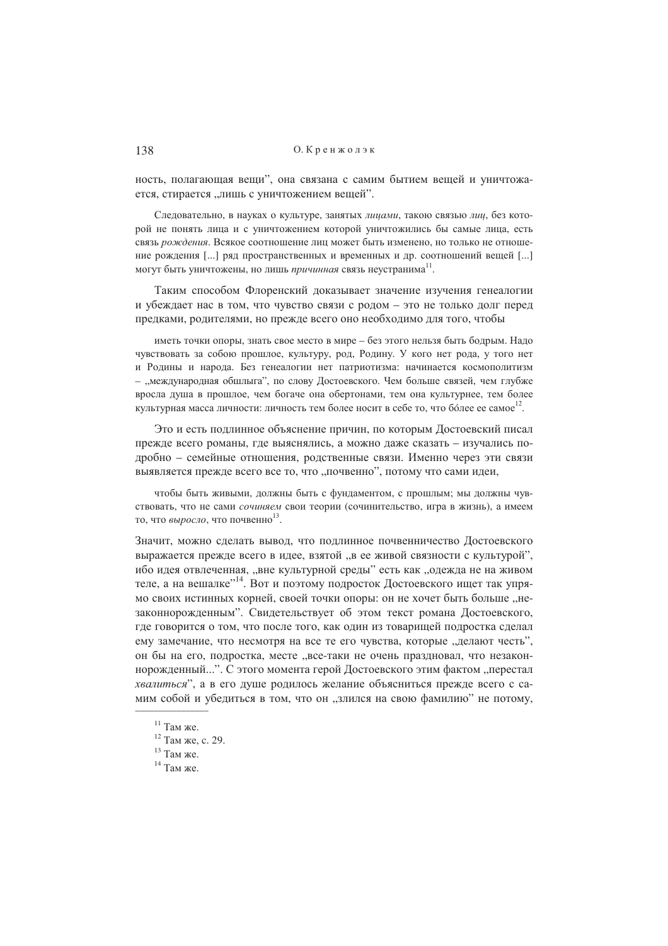ность, полагающая вещи", она связана с самим бытием вещей и уничтожается, стирается "лишь с уничтожением вешей".

Следовательно, в науках о культуре, занятых лицами, такою связью лиц, без которой не понять лица и с уничтожением которой уничтожились бы самые лица, есть связь рождения. Всякое соотношение лиц может быть изменено, но только не отношение рождения [...] ряд пространственных и временных и др. соотношений вещей [...] могут быть уничтожены, но лишь причинная связь неустранима<sup>11</sup>.

Таким способом Флоренский доказывает значение изучения генеалогии и убеждает нас в том, что чувство связи с родом - это не только долг перед предками, родителями, но прежде всего оно необходимо для того, чтобы

иметь точки опоры, знать свое место в мире - без этого нельзя быть бодрым. Надо чувствовать за собою прошлое, культуру, род, Родину. У кого нет рода, у того нет и Родины и народа. Без генеалогии нет патриотизма: начинается космополитизм - "международная обшлыга", по слову Достоевского. Чем больше связей, чем глубже вросла душа в прошлое, чем богаче она обертонами, тем она культурнее, тем более культурная масса личности: личность тем более носит в себе то, что более ее самое<sup>12</sup>.

Это и есть подлинное объяснение причин, по которым Достоевский писал прежде всего романы, где выяснялись, а можно даже сказать - изучались подробно - семейные отношения, родственные связи. Именно через эти связи выявляется прежде всего все то, что "почвенно", потому что сами идеи,

чтобы быть живыми, должны быть с фундаментом, с прошлым; мы должны чувствовать, что не сами сочиняем свои теории (сочинительство, игра в жизнь), а имеем то, что выросло, что почвенно<sup>13</sup>.

Значит, можно сделать вывод, что подлинное почвенничество Достоевского выражается прежде всего в идее, взятой "в ее живой связности с культурой", ибо идея отвлеченная, "вне культурной среды" есть как "одежда не на живом теле, а на вешалке"<sup>14</sup>. Вот и поэтому подросток Достоевского ищет так упрямо своих истинных корней, своей точки опоры: он не хочет быть больше "незаконнорожденным". Свидетельствует об этом текст романа Достоевского, где говорится о том, что после того, как один из товарищей подростка сделал ему замечание, что несмотря на все те его чувства, которые "делают честь", он бы на его, подростка, месте "все-таки не очень праздновал, что незаконнорожденный...". С этого момента герой Достоевского этим фактом "перестал хвалиться", а в его луше ролилось желание объясниться прежде всего с самим собой и убедиться в том, что он "злился на свою фамилию" не потому,

 $11$  Там же.

<sup>&</sup>lt;sup>12</sup> Там же, с. 29.

 $13$  Там же.

 $14$  Там же.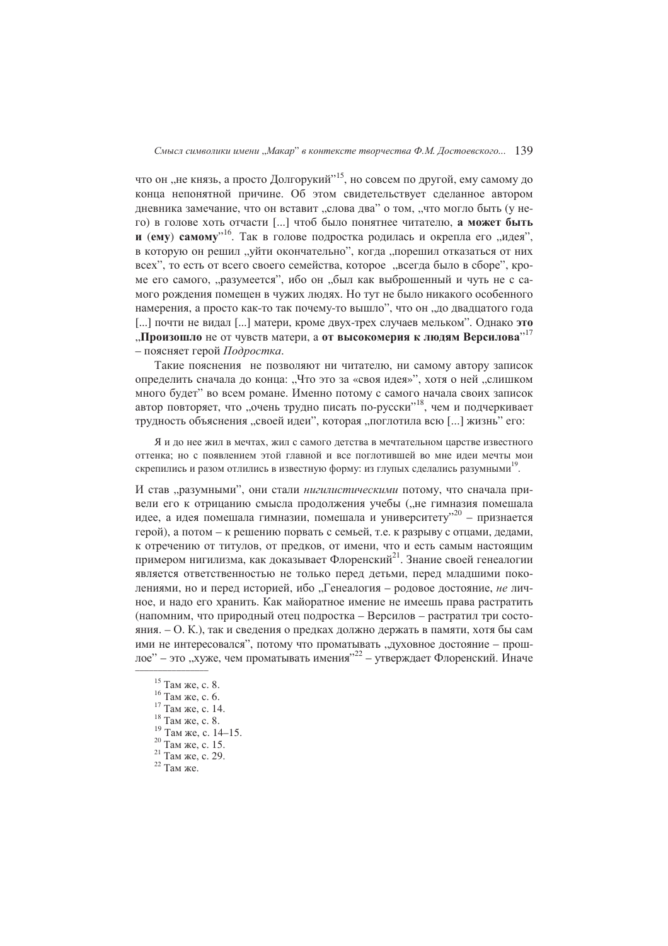что он "не князь, а просто Долгорукий", но совсем по другой, ему самому до конца непонятной причине. Об этом свидетельствует сделанное автором дневника замечание, что он вставит "слова два" о том, "что могло быть (у него) в голове хоть отчасти [...] чтоб было понятнее читателю, а может быть и (ему) самому"<sup>16</sup>. Так в голове подростка родилась и окрепла его "идея", в которую он решил "уйти окончательно", когда "порешил отказаться от них всех", то есть от всего своего семейства, которое, всегда было в сборе", кроме его самого, "разумеется", ибо он "был как выброшенный и чуть не с самого рождения помещен в чужих людях. Но тут не было никакого особенного намерения, а просто как-то так почему-то вышло", что он "до двадцатого года [ ... ] почти не видал [ ... ] матери, кроме двух-трех случаев мельком". Однако это "Произошло не от чувств матери, а от высокомерия к людям Версилова"<sup>17</sup> - поясняет герой Подростка.

Такие пояснения не позволяют ни читателю, ни самому автору записок определить сначала до конца: "Что это за «своя идея»", хотя о ней "слишком много будет" во всем романе. Именно потому с самого начала своих записок автор повторяет, что "очень трудно писать по-русски"<sup>18</sup>, чем и подчеркивает трудность объяснения "своей идеи", которая "поглотила всю [...] жизнь" его:

Я и до нее жил в мечтах, жил с самого детства в мечтательном царстве известного оттенка; но с появлением этой главной и все поглотившей во мне идеи мечты мои скрепились и разом отлились в известную форму: из глупых сделались разумными<sup>19</sup>.

И став "разумными", они стали нигилистическими потому, что сначала привели его к отрицанию смысла продолжения учебы ("не гимназия помешала идее, а идея помешала гимназии, помешала и университету"<sup>20</sup> - признается герой), а потом - к решению порвать с семьей, т.е. к разрыву с отцами, дедами, к отречению от титулов, от прелков, от имени, что и есть самым настоящим примером нигилизма, как доказывает Флоренский<sup>21</sup>. Знание своей генеалогии является ответственностью не только перед детьми, перед младшими поколениями, но и перед историей, ибо "Генеалогия - родовое достояние, не личное, и надо его хранить. Как майоратное имение не имеешь права растратить (напомним, что природный отец подростка - Версилов - растратил три состояния. – О. К.), так и сведения о предках должно держать в памяти, хотя бы сам ими не интересовался", потому что проматывать "духовное достояние - прошлое" - это "хуже, чем проматывать имения"<sup>22</sup> - утверждает Флоренский. Иначе

 $15$  Там же, с. 8.

 $16$  Там же, с. 6.

 $17$  Там же, с. 14.

 $18$  Там же, с. 8.

 $^{19}$  Tam *x*e, c. 14–15.

<sup>&</sup>lt;sup>20</sup> Там же, с. 15.

 $21$  Там же, с. 29.

 $22$  Там же.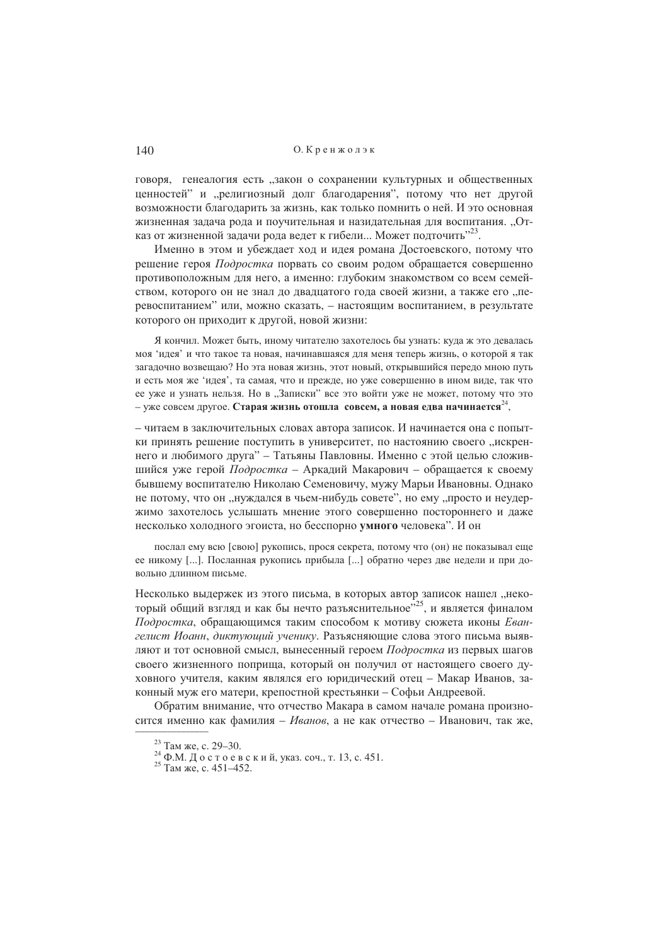говоря, генеалогия есть "закон о сохранении культурных и общественных ценностей" и "религиозный долг благодарения", потому что нет другой возможности благодарить за жизнь, как только помнить о ней. И это основная жизненная задача рода и поучительная и назидательная для воспитания. "Отказ от жизненной задачи рода ведет к гибели... Может подточить"<sup>23</sup>.

Именно в этом и убеждает ход и идея романа Достоевского, потому что решение героя Подростка порвать со своим родом обращается совершенно противоположным для него, а именно: глубоким знакомством со всем семейством, которого он не знал до двадцатого года своей жизни, а также его "перевоспитанием" или, можно сказать, - настоящим воспитанием, в результате которого он приходит к другой, новой жизни:

Я кончил. Может быть, иному читателю захотелось бы узнать: кула ж это левалась моя 'илея' и что такое та новая, начинавшаяся для меня теперь жизнь, о которой я так загадочно возвещаю? Но эта новая жизнь, этот новый, открывшийся передо мною путь и есть моя же 'идея', та самая, что и прежде, но уже совершенно в ином виде, так что ее уже и узнать нельзя. Но в "Записки" все это войти уже не может, потому что это - уже совсем другое. Старая жизнь отошла совсем, а новая едва начинается  $24$ ,

- читаем в заключительных словах автора записок. И начинается она с попытки принять решение поступить в университет, по настоянию своего "искреннего и любимого друга" - Татьяны Павловны. Именно с этой целью сложившийся уже герой Подростка – Аркадий Макарович – обращается к своему бывшему воспитателю Николаю Семеновичу, мужу Марьи Ивановны. Однако не потому, что он "нуждался в чьем-нибудь совете", но ему "просто и неудержимо захотелось услышать мнение этого совершенно постороннего и даже несколько холодного эгоиста, но бесспорно умного человека". И он

послал ему всю [свою] рукопись, прося секрета, потому что (он) не показывал еще ее никому [...]. Посланная рукопись прибыла [...] обратно через две недели и при довольно длинном письме.

Несколько выдержек из этого письма, в которых автор записок нашел "некоторый общий взгляд и как бы нечто разъяснительное"<sup>25</sup>, и является финалом Подростка, обращающимся таким способом к мотиву сюжета иконы Евангелист Иоанн, диктующий ученику. Разъясняющие слова этого письма выявляют и тот основной смысл, вынесенный героем Подростка из первых шагов своего жизненного поприща, который он получил от настоящего своего духовного учителя, каким являлся его юридический отец - Макар Иванов, законный муж его матери, крепостной крестьянки - Софьи Андреевой.

Обратим внимание, что отчество Макара в самом начале романа произносится именно как фамилия - Иванов, а не как отчество - Иванович, так же,

<sup>&</sup>lt;sup>23</sup> Там же, с. 29-30.

<sup>&</sup>lt;sup>24</sup> Ф.М. Достоевский, указ. соч., т. 13, с. 451.

 $^{25}$  Tam же, с. 451–452.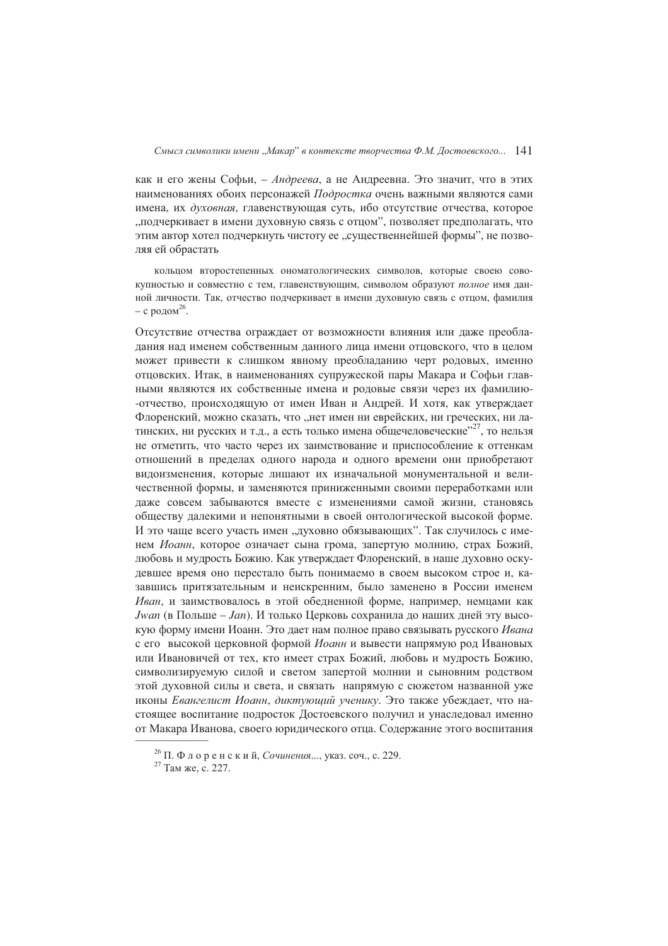как и его жены Софьи, - Андреева, а не Андреевна. Это значит, что в этих наименованиях обоих персонажей Подростка очень важными являются сами имена, их духовная, главенствующая суть, ибо отсутствие отчества, которое "подчеркивает в имени духовную связь с отцом", позволяет предполагать, что этим автор хотел подчеркнуть чистоту ее "существеннейшей формы", не позволяя ей обрастать

кольцом второстепенных ономатологических символов, которые своею совокупностью и совместно с тем, главенствующим, символом образуют полное имя данной личности. Так, отчество подчеркивает в имени духовную связь с отцом, фамилия – с родом<sup>26</sup>.

Отсутствие отчества ограждает от возможности влияния или даже преобладания над именем собственным данного лица имени отцовского, что в целом может привести к слишком явному преобладанию черт родовых, именно отцовских. Итак, в наименованиях супружеской пары Макара и Софьи главными являются их собственные имена и родовые связи через их фамилию--отчество, происходящую от имен Иван и Андрей. И хотя, как утверждает Флоренский, можно сказать, что "нет имен ни еврейских, ни греческих, ни латинских, ни русских и т.д., а есть только имена общечеловеческие"<sup>27</sup>, то нельзя не отметить, что часто через их заимствование и приспособление к оттенкам отношений в пределах одного народа и одного времени они приобретают видоизменения, которые лишают их изначальной монументальной и величественной формы, и заменяются приниженными своими переработками или даже совсем забываются вместе с изменениями самой жизни, становясь обществу далекими и непонятными в своей онтологической высокой форме. И это чаще всего участь имен "духовно обязывающих". Так случилось с именем Иоанн, которое означает сына грома, запертую молнию, страх Божий, любовь и мудрость Божию. Как утверждает Флоренский, в наше духовно оскудевшее время оно перестало быть понимаемо в своем высоком строе и, казавшись притязательным и неискренним. было заменено в России именем Иван, и заимствовалось в этой обедненной форме, например, немцами как *Jwan* (в Польше – Jan). И только Церковь сохранила до наших дней эту высокую форму имени Иоанн. Это дает нам полное право связывать русского Ивана с его высокой церковной формой Иоанн и вывести напрямую род Ивановых или Ивановичей от тех, кто имеет страх Божий, любовь и мудрость Божию, символизируемую силой и светом запертой молнии и сыновним родством этой духовной силы и света, и связать напрямую с сюжетом названной уже иконы Евангелист Иоанн, диктующий ученику. Это также убеждает, что настоящее воспитание подросток Достоевского получил и унаследовал именно от Макара Иванова, своего юридического отца. Содержание этого воспитания

<sup>&</sup>lt;sup>26</sup> П. Флоренский, *Сочинения*..., указ. соч., с. 229.

<sup>&</sup>lt;sup>27</sup> Там же, с. 227.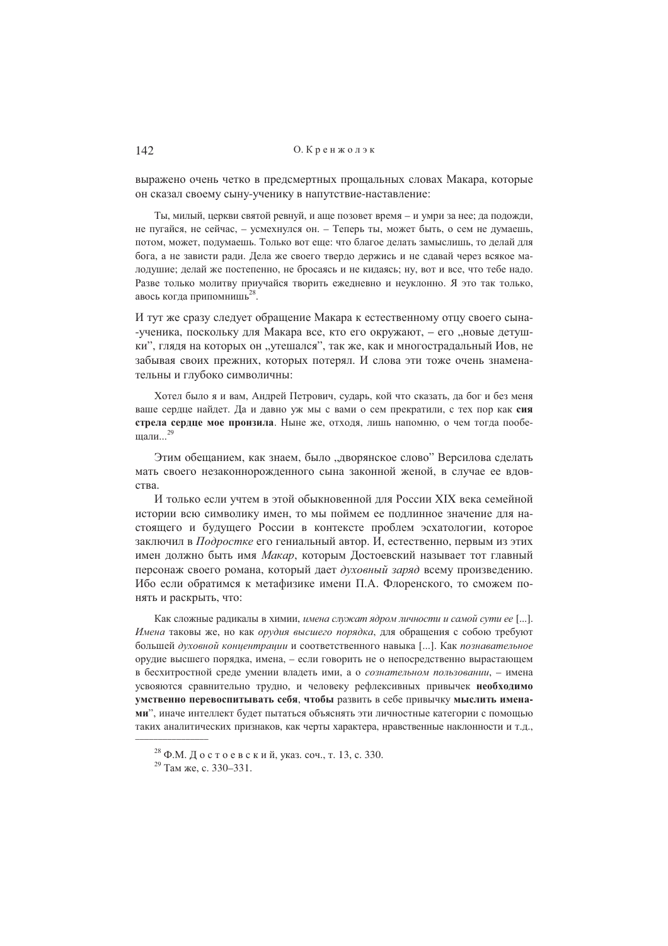выражено очень четко в предсмертных прощальных словах Макара, которые он сказал своему сыну-ученику в напутствие-наставление:

Ты, милый, церкви святой ревнуй, и аще позовет время - и умри за нее; да подожди, не пугайся, не сейчас, - усмехнулся он. - Теперь ты, может быть, о сем не думаешь, потом, может, подумаешь. Только вот еще: что благое делать замыслишь, то делай для бога, а не зависти ради. Дела же своего твердо держись и не сдавай через всякое малодушие; делай же постепенно, не бросаясь и не кидаясь; ну, вот и все, что тебе надо. Разве только молитву приучайся творить ежедневно и неуклонно. Я это так только, авось когда припомнишь<sup>28</sup>.

И тут же сразу следует обращение Макара к естественному отцу своего сына--ученика, поскольку для Макара все, кто его окружают, - его "новые детушки", глядя на которых он "утешался", так же, как и многострадальный Иов, не забывая своих прежних, которых потерял. И слова эти тоже очень знаменательны и глубоко символичны:

Хотел было я и вам, Андрей Петрович, сударь, кой что сказать, да бог и без меня ваше сердце найдет. Да и давно уж мы с вами о сем прекратили, с тех пор как сия стрела сердце мое пронзила. Ныне же, отходя, лишь напомню, о чем тогда пообешали...<sup>29</sup>

Этим обешанием, как знаем, было "лворянское слово" Версилова слелать мать своего незаконнорожденного сына законной женой, в случае ее вдовства.

И только если учтем в этой обыкновенной для России XIX века семейной истории всю символику имен, то мы поймем ее подлинное значение для настоящего и будущего России в контексте проблем эсхатологии, которое заключил в Подростке его гениальный автор. И, естественно, первым из этих имен должно быть имя *Макар*, которым Достоевский называет тот главный персонаж своего романа, который дает духовный заряд всему произведению. Ибо если обратимся к метафизике имени П.А. Флоренского, то сможем понять и раскрыть, что:

Как сложные раликалы в химии, имена служат ядром личности и самой сути ее [...]. Имена таковы же, но как орудия высшего порядка, для обращения с собою требуют большей духовной концентрации и соответственного навыка [...]. Как познавательное орудие высшего порядка, имена, - если говорить не о непосредственно вырастающем в бесхитростной среде умении владеть ими, а о сознательном пользовании, - имена усвояются сравнительно трудно, и человеку рефлексивных привычек необходимо умственно перевоспитывать себя, чтобы развить в себе привычку мыслить именами", иначе интеллект будет пытаться объяснять эти личностные категории с помощью таких аналитических признаков, как черты характера, нравственные наклонности и т.д.,

 $^{28}$  Ф.М. Достоевский, указ. соч., т. 13, с. 330.

<sup>&</sup>lt;sup>29</sup> Там же. с. 330–331.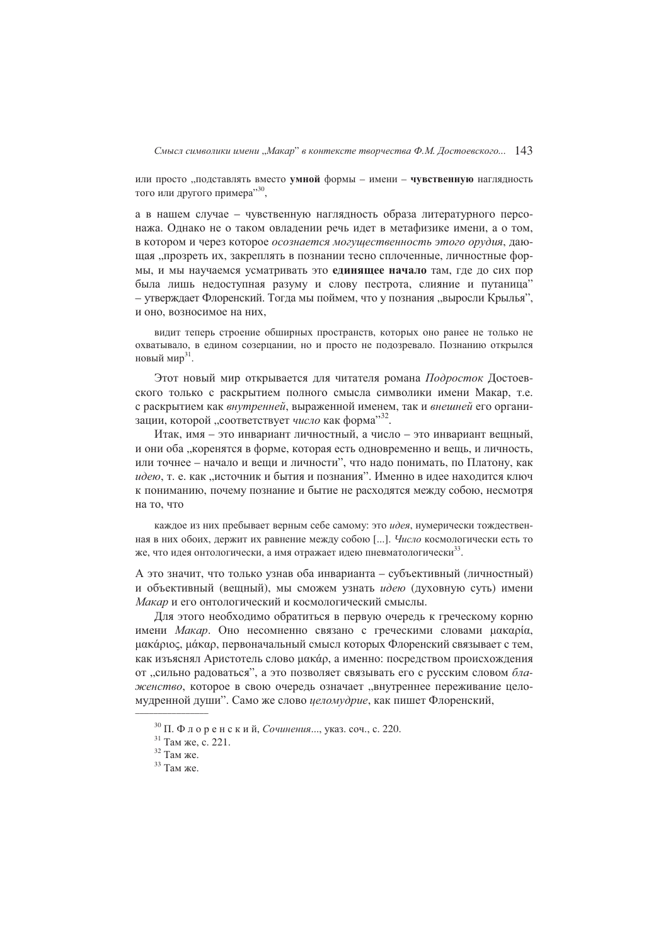или просто "подставлять вместо умной формы - имени - чувственную наглядность того или другого примера",

а в нашем случае - чувственную наглядность образа литературного персонажа. Однако не о таком овладении речь идет в метафизике имени, а о том, в котором и через которое осознается могущественность этого орудия, дающая "прозреть их, закреплять в познании тесно сплоченные, личностные формы, и мы научаемся усматривать это единящее начало там, где до сих пор была лишь недоступная разуму и слову пестрота, слияние и путаница" - утверждает Флоренский. Тогда мы поймем, что у познания "выросли Крылья", и оно, возносимое на них,

вилит теперь строение общирных пространств, которых оно ранее не только не охватывало, в едином созерцании, но и просто не подозревало. Познанию открылся новый мир<sup>31</sup>

Этот новый мир открывается для читателя романа Подросток Достоевского только с раскрытием полного смысла символики имени Макар, т.е. с раскрытием как внутренней, выраженной именем, так и внешней его организации, которой, соответствует число как форма"<sup>32</sup>.

Итак, имя - это инвариант личностный, а число - это инвариант вещный, и они оба "коренятся в форме, которая есть одновременно и вещь, и личность. или точнее - начало и вещи и личности", что надо понимать, по Платону, как идею, т. е. как "источник и бытия и познания". Именно в идее находится ключ к пониманию, почему познание и бытие не расходятся между собою, несмотря на то, что

каждое из них пребывает верным себе самому: это идея, нумерически тождественная в них обоих, держит их равнение между собою [...]. Число космологически есть то же, что идея онтологически, а имя отражает идею пневматологически<sup>33</sup>.

А это значит, что только узнав оба инварианта - субъективный (личностный) и объективный (вещный), мы сможем узнать идею (духовную суть) имени Макар и его онтологический и космологический смыслы.

Для этого необходимо обратиться в первую очередь к греческому корню имени Макар. Оно несомненно связано с греческими словами цакаріа, μακάριος, μάκαρ, первоначальный смысл которых Флоренский связывает с тем, как изъяснял Аристотель слово цакар, а именно: посредством происхождения от "сильно радоваться", а это позволяет связывать его с русским словом блаженство, которое в свою очередь означает "внутреннее переживание целомудренной души". Само же слово иеломудрие, как пишет Флоренский,

 $30$  П. Флоренский, Сочинения..., указ. соч., с. 220.

<sup>&</sup>lt;sup>31</sup> Там же, с. 221.

 $32$  Там же.

<sup>&</sup>lt;sup>33</sup> Там же.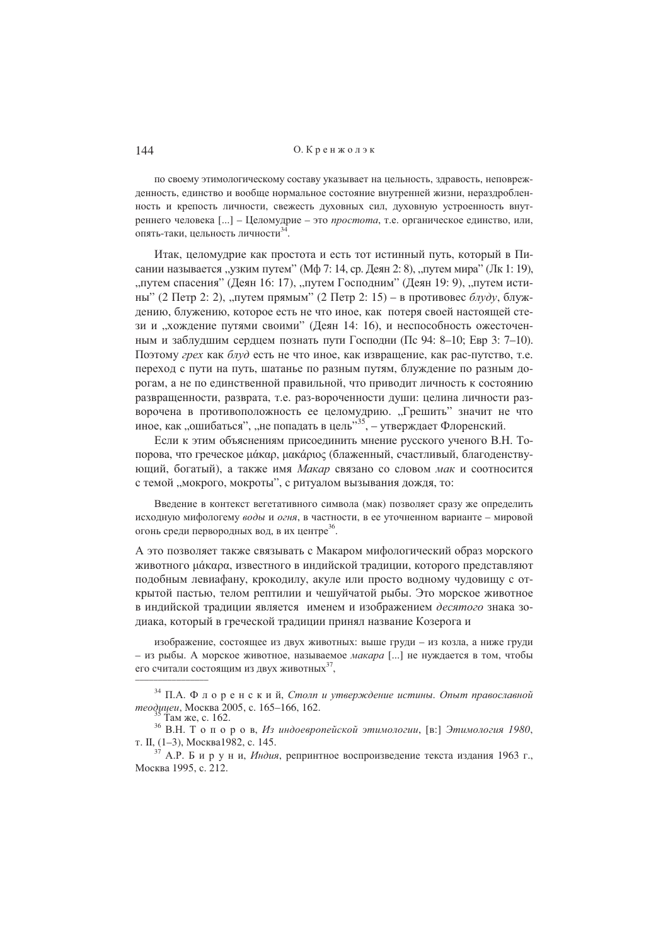по своему этимологическому составу указывает на цельность, здравость, неповрежденность, единство и вообще нормальное состояние внутренней жизни, нераздробленность и крепость личности, свежесть духовных сил, духовную устроенность внутреннего человека [...] - Целомудрие - это простота, т.е. органическое единство, или, опять-таки, цельность личности<sup>34</sup>

Итак, целомудрие как простота и есть тот истинный путь, который в Писании называется "узким путем" (Мф 7: 14, ср. Деян 2: 8), "путем мира" (Лк 1: 19), "путем спасения" (Деян 16: 17), "путем Господним" (Деян 19: 9), "путем истины" (2 Петр 2: 2), "путем прямым" (2 Петр 2: 15) – в противовес блуду, блуждению, блужению, которое есть не что иное, как потеря своей настоящей стези и "хождение путями своими" (Деян 14: 16), и неспособность ожесточенным и заблудшим сердцем познать пути Господни (Пс 94: 8-10: Евр 3: 7-10). Поэтому грех как блуд есть не что иное, как извращение, как рас-путство, т.е. переход с пути на путь, шатанье по разным путям, блуждение по разным дорогам, а не по единственной правильной, что приводит личность к состоянию развращенности, разврата, т.е. раз-вороченности души: целина личности разворочена в противоположность ее целомудрию. "Грешить" значит не что иное, как "ошибаться", "не попадать в цель"<sup>35</sup>, – утверждает Флоренский.

Если к этим объяснениям присоединить мнение русского ученого В.Н. Топорова, что греческое μάκαρ, μακάριος (блаженный, счастливый, благоденствующий, богатый), а также имя Макар связано со словом мак и соотносится с темой "мокрого, мокроты", с ритуалом вызывания дождя, то:

Введение в контекст вегетативного символа (мак) позволяет сразу же определить исходную мифологему воды и огня, в частности, в ее уточненном варианте - мировой огонь среди первородных вод, в их центре<sup>36</sup>.

А это позволяет также связывать с Макаром мифологический образ морского животного цакара, известного в индийской традиции, которого представляют подобным левиафану, крокодилу, акуле или просто водному чудовищу с открытой пастью, телом рептилии и чешуйчатой рыбы. Это морское животное в индийской традиции является именем и изображением десятого знака зодиака, который в греческой традиции принял название Козерога и

изображение, состоящее из двух животных: выше груди - из козла, а ниже груди - из рыбы. А морское животное, называемое макара [...] не нуждается в том, чтобы его считали состоящим из двух животных 37,

<sup>&</sup>lt;sup>34</sup> П.А. Флоренский, Столпиутверждение истины. Опыт православной теодицеи, Москва 2005, с. 165-166, 162.

Там же, с. 162.

<sup>&</sup>lt;sup>36</sup> В.Н. Т о п о р о в, *Из индоевропейской этимологии*, [в:] Этимология 1980, т. II, (1-3), Москва1982, с. 145.

 $37$  A.P. Б и р у н и, Индия, репринтное воспроизведение текста издания 1963 г., Москва 1995, с. 212.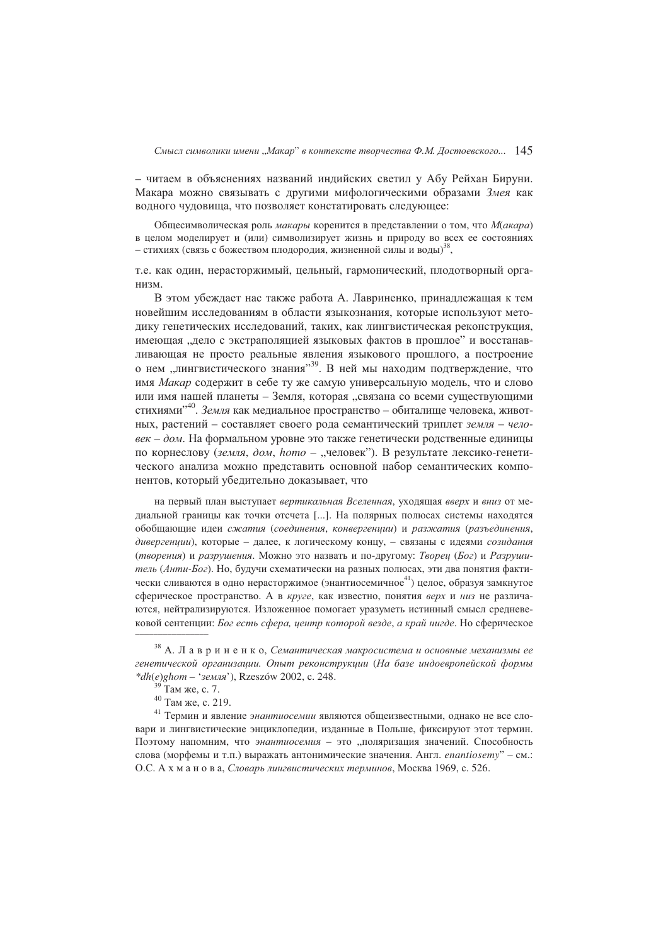- читаем в объяснениях названий индийских светил у Абу Рейхан Бируни. Макара можно связывать с другими мифологическими образами Змея как водного чудовища, что позволяет констатировать следующее:

Общесимволическая роль макары коренится в представлении о том, что М(акара) в целом моделирует и (или) символизирует жизнь и природу во всех ее состояниях - стихиях (связь с божеством плодородия, жизненной силы и воды)<sup>38</sup>,

т.е. как один, нерасторжимый, цельный, гармонический, плодотворный организм.

В этом убеждает нас также работа А. Лавриненко, принадлежащая к тем новейшим исследованиям в области языкознания, которые используют методику генетических исследований, таких, как лингвистическая реконструкция, имеющая ... лело с экстраполяцией языковых фактов в прошлое" и восстанавливающая не просто реальные явления языкового прошлого, а построение о нем "лингвистического знания"<sup>39</sup>. В ней мы находим подтверждение, что имя Макар содержит в себе ту же самую универсальную модель, что и слово или имя нашей планеты - Земля, которая "связана со всеми существующими стихиями",40. Земля как медиальное пространство - обиталище человека, животных, растений - составляет своего рода семантический триплет земля - человек - дом. На формальном уровне это также генетически родственные единицы по корнеслову (земля, дом, homo - "человек"). В результате лексико-генетического анализа можно представить основной набор семантических компонентов, который убедительно доказывает, что

на первый план выступает вертикальная Вселенная, уходящая вверх и вниз от медиальной границы как точки отсчета [ ... ]. На полярных полюсах системы находятся обобщающие идеи сжатия (соединения, конвергенции) и разжатия (разъединения, дивергенции), которые - далее, к логическому концу, - связаны с идеями созидания (творения) и разрушения. Можно это назвать и по-другому: Творец (Бог) и Разрушитель (Анти-Бог). Но, будучи схематически на разных полюсах, эти два понятия фактически сливаются в одно нерасторжимое (энантиосемичное<sup>41</sup>) целое, образуя замкнутое сферическое пространство. А в круге, как известно, понятия верх и низ не различаются, нейтрализируются. Изложенное помогает уразуметь истинный смысл средневековой сентенции: Бог есть сфера, центр которой везде, а край нигде. Но сферическое

 $38$  А. Лавриненко, Семантическая макросистема и основные механизмы ее генетической организации. Опыт реконструкции (На базе индоевропейской формы \*dh(e)ghom - 'земля'), Rzeszów 2002, с. 248.

Там же, с. 7.

<sup>40</sup> Там же, с. 219.

<sup>&</sup>lt;sup>41</sup> Термин и явление энантиосемии являются общеизвестными, однако не все словари и лингвистические энциклопедии, изданные в Польше, фиксируют этот термин. Поэтому напомним, что энантиосемия - это "поляризация значений. Способность слова (морфемы и т.п.) выражать антонимические значения. Англ. enantiosemy" - см.: О.С. А х м а н о в а, Словарь лингвистических терминов, Москва 1969, с. 526.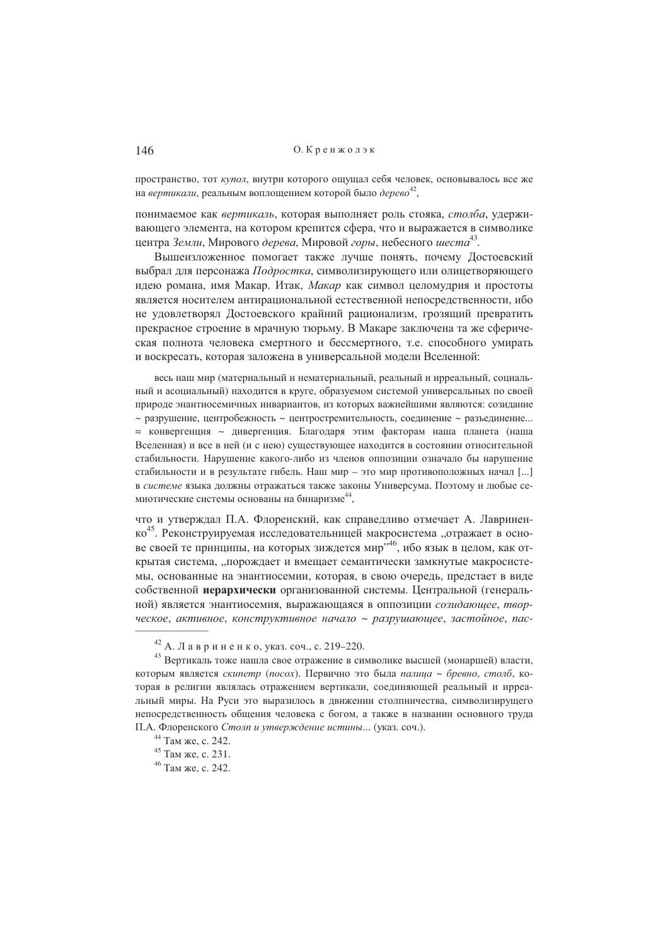пространство, тот купол, внутри которого ощущал себя человек, основывалось все же на вертикали, реальным воплошением которой было дерево<sup>42</sup>.

понимаемое как вертикаль, которая выполняет роль стояка, столба, удерживающего элемента, на котором крепится сфера, что и выражается в символике центра Земли. Мирового дерева. Мировой горы, небесного шеста<sup>43</sup>.

Вышеизложенное помогает также лучше понять, почему Достоевский выбрал для персонажа Подростка, символизирующего или олицетворяющего идею романа, имя Макар. Итак, Макар как символ целомудрия и простоты является носителем антирациональной естественной непосредственности, ибо не удовлетворял Достоевского крайний рационализм, грозящий превратить прекрасное строение в мрачную тюрьму. В Макаре заключена та же сферическая полнота человека смертного и бессмертного, т.е. способного умирать и воскресать, которая заложена в универсальной модели Вселенной:

весь наш мир (материальный и нематериальный, реальный и ирреальный, социальный и асоциальный) находится в круге, образуемом системой универсальных по своей природе энантиосемичных инвариантов, из которых важнейшими являются: созилание  $\sim$  разрушение, центробежность  $\sim$  центростремительность, соединение  $\sim$  разъединение... = конвергенция ~ дивергенция. Благодаря этим факторам наша планета (наша Вселенная) и все в ней (и с нею) существующее находится в состоянии относительной стабильности. Нарушение какого-либо из членов оппозиции означало бы нарушение стабильности и в результате гибель. Наш мир - это мир противоположных начал [...] в системе языка должны отражаться также законы Универсума. Поэтому и любые семиотические системы основаны на бинаризме<sup>44</sup>,

что и утверждал П.А. Флоренский, как справедливо отмечает А. Лавриненко<sup>45</sup>. Реконструируемая исследовательницей макросистема "отражает в основе своей те принципы, на которых зиждется мир<sup>346</sup>, ибо язык в целом, как открытая система, "порождает и вмещает семантически замкнутые макросистемы, основанные на энантиосемии, которая, в свою очередь, предстает в виде собственной иерархически организованной системы. Центральной (генеральной) является энантиосемия, выражающаяся в оппозиции созидающее, творческое, активное, конструктивное начало ~ разрушающее, застойное, пас-

<sup>&</sup>lt;sup>42</sup> А. Лавриненко, указ. соч., с. 219-220.

<sup>43</sup> Вертикаль тоже нашла свое отражение в символике высшей (монаршей) власти, которым является скипетр (посох). Первично это была палица ~ бревно, столб, которая в религии являлась отражением вертикали, соединяющей реальный и ирреальный миры. На Руси это выразилось в движении столпничества, символизирущего непосредственность общения человека с богом, а также в названии основного труда П.А. Флоренского Столп и утверждение истины... (указ. соч.).

<sup>&</sup>lt;sup>44</sup> Там же, с. 242.

<sup>&</sup>lt;sup>45</sup> Там же, с. 231.

<sup>&</sup>lt;sup>46</sup> Там же, с. 242.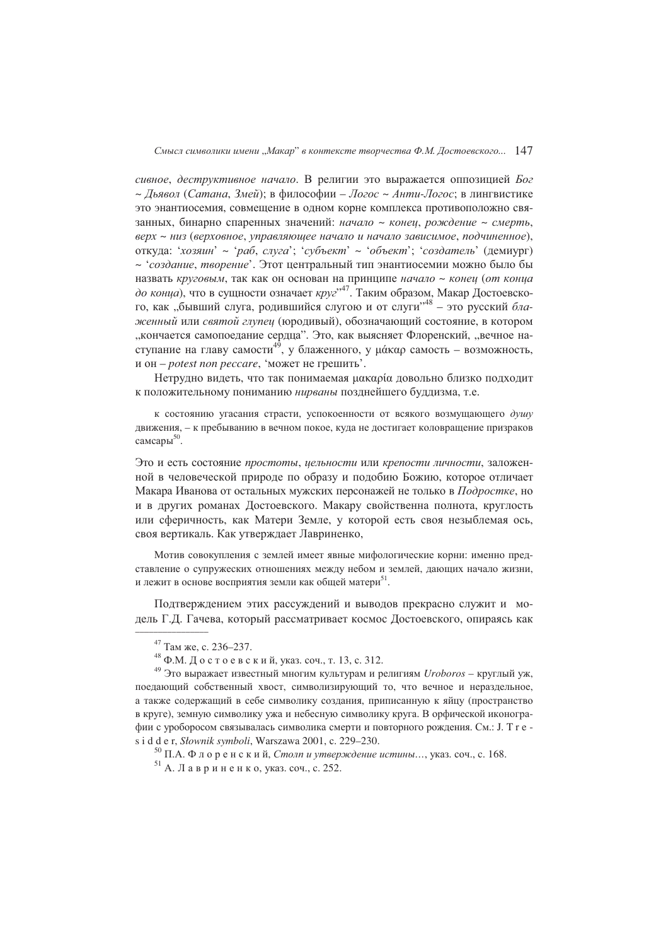сивное, деструктивное начало. В религии это выражается оппозицией Бог ~ Дьявол (Сатана, Змей); в философии - Логос ~ Анти-Логос; в лингвистике это энантиосемия, совмешение в одном корне комплекса противоположно связанных, бинарно спаренных значений: начало ~ конец, рождение ~ смерть, верх ~ низ (верховное, управляющее начало и начало зависимое, подчиненное), откуда: 'хозяин' ~ 'раб, слуга'; 'субъект' ~ 'объект'; 'создатель' (демиург) ~ чеоздание, творение'. Этот центральный тип энантиосемии можно было бы назвать круговым, так как он основан на принципе начало ~ конец (от конца до конца), что в сущности означает круг<sup>,47</sup>. Таким образом, Макар Достоевского, как "бывший слуга, родившийся слугою и от слуги"<sup>48</sup> - это русский блаэкенный или святой глупец (юродивый), обозначающий состояние, в котором "кончается самопоедание сердца". Это, как выясняет Флоренский, "вечное наступание на главу самости<sup>49</sup>, у блаженного, у µ сталость - возможность, и он – *potest non peccare*, 'может не грешить'.

Нетрудно видеть, что так понимаемая цакаріа довольно близко подходит к положительному пониманию нирваны позднейшего буддизма, т.е.

к состоянию угасания страсти, успокоенности от всякого возмущающего душу движения, - к пребыванию в вечном покое, куда не достигает коловращение призраков самсары<sup>50</sup>.

Это и есть состояние простоты, цельности или крепости личности, заложенной в человеческой природе по образу и подобию Божию, которое отличает Макара Иванова от остальных мужских персонажей не только в Подростке, но и в других романах Достоевского. Макару свойственна полнота, круглость или сферичность, как Матери Земле, у которой есть своя незыблемая ось, своя вертикаль. Как утверждает Лавриненко,

Мотив совокупления с землей имеет явные мифологические корни: именно представление о супружеских отношениях между небом и землей, дающих начало жизни, и лежит в основе восприятия земли как общей матери<sup>51</sup>.

Подтверждением этих рассуждений и выводов прекрасно служит и модель Г.Д. Гачева, который рассматривает космос Достоевского, опираясь как

<sup>&</sup>lt;sup>47</sup> Там же, с. 236-237.

<sup>&</sup>lt;sup>48</sup> Ф.М. Достоевский, указ. соч., т. 13, с. 312.

<sup>&</sup>lt;sup>49</sup> Это выражает известный многим культурам и религиям Uroboros - круглый уж, поедающий собственный хвост, символизирующий то, что вечное и нераздельное, а также содержащий в себе символику создания, приписанную к яйцу (пространство в круге), земную символику ужа и небесную символику круга. В орфической иконографии с уроборосом связывалась символика смерти и повторного рождения. См.: Ј. Т г е s i d d e r, Słownik symboli, Warszawa 2001, c. 229–230.

<sup>&</sup>lt;sup>50</sup> П.А. Флоренский, *Столп и утверждение истины*..., указ. соч., с. 168.

<sup>&</sup>lt;sup>51</sup> А. Лавриненко, указ. соч., с. 252.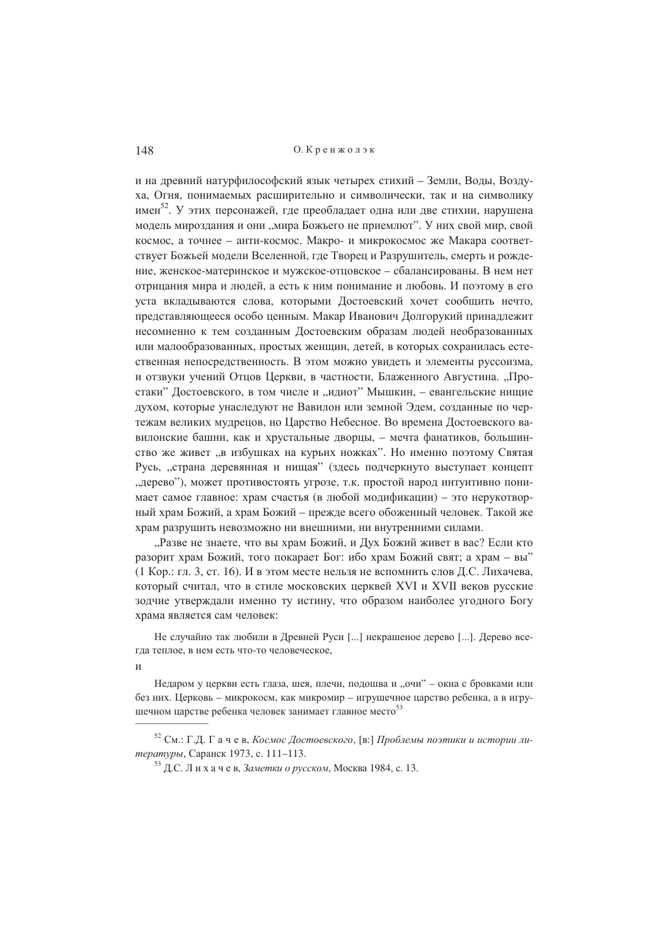и на древний натурфилософский язык четырех стихий - Земли, Воды, Воздуха, Огня, понимаемых расширительно и символически, так и на символику имен<sup>52</sup>. У этих персонажей, где преобладает одна или две стихии, нарушена модель мироздания и они "мира Божьего не приемлют". У них свой мир, свой космос, а точнее - анти-космос. Макро- и микрокосмос же Макара соответствует Божьей модели Вселенной, где Творец и Разрушитель, смерть и рождение, женское-материнское и мужское-отцовское – сбалансированы. В нем нет отрицания мира и людей, а есть к ним понимание и любовь. И поэтому в его уста вкладываются слова, которыми Достоевский хочет сообщить нечто, представляющееся особо ценным. Макар Иванович Долгорукий принадлежит несомненно к тем созданным Достоевским образам людей необразованных или малообразованных, простых женщин, детей, в которых сохранилась естественная непосредственность. В этом можно увидеть и элементы руссоизма, и отзвуки учений Отцов Церкви, в частности, Блаженного Августина. "Простаки" Достоевского, в том числе и "идиот" Мышкин, - евангельские нищие духом, которые унаследуют не Вавилон или земной Эдем, созданные по чертежам великих мудрецов, но Царство Небесное. Во времена Достоевского вавилонские башни, как и хрустальные дворцы, - мечта фанатиков, большинство же живет "в избушках на курьих ножках". Но именно поэтому Святая Русь, "страна деревянная и нищая" (здесь подчеркнуто выступает концепт "дерево"), может противостоять угрозе, т.к. простой народ интуитивно понимает самое главное: храм счастья (в любой модификации) - это нерукотворный храм Божий, а храм Божий – прежде всего обоженный человек. Такой же храм разрушить невозможно ни внешними, ни внутренними силами.

"Разве не знаете, что вы храм Божий, и Дух Божий живет в вас? Если кто разорит храм Божий, того покарает Бог: ибо храм Божий свят; а храм - вы" (1 Кор.: гл. 3, ст. 16). И в этом месте нельзя не вспомнить слов Д.С. Лихачева, который считал, что в стиле московских церквей XVI и XVII веков русские зодчие утверждали именно ту истину, что образом наиболее угодного Богу храма является сам человек:

Не случайно так любили в Лревней Руси [...] некрашеное дерево [...]. Дерево всегла теплое, в нем есть что-то человеческое.

 $\overline{u}$ 

Недаром у церкви есть глаза, шея, плечи, полошва и "очи" – окна с бровками или без них. Церковь – микрокосм, как микромир – игрушечное царство ребенка, а в игрушечном царстве ребенка человек занимает главное место<sup>53</sup>

<sup>&</sup>lt;sup>52</sup> См.: Г.Д. Гачев, Космос Достоевского, [в:] Проблемы поэтики и истории литературы, Саранск 1973, с. 111-113.

<sup>&</sup>lt;sup>53</sup> Д.С. Лихачев, Заметки о русском, Москва 1984, с. 13.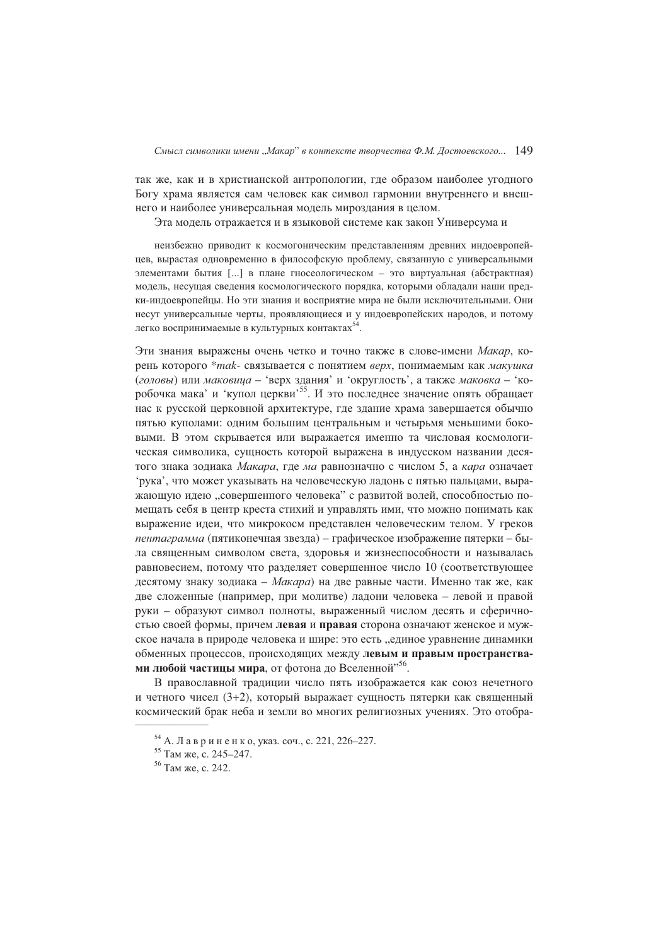так же, как и в христианской антропологии, где образом наиболее угодного Богу храма является сам человек как символ гармонии внутреннего и внешнего и наиболее универсальная модель мироздания в целом.

Эта модель отражается и в языковой системе как закон Универсума и

неизбежно приводит к космогоническим представлениям древних индоевропейцев, вырастая одновременно в философскую проблему, связанную с универсальными элементами бытия [...] в плане гносеологическом - это виртуальная (абстрактная) модель, несущая сведения космологического порядка, которыми обладали наши предки-индоевропейцы. Но эти знания и восприятие мира не были исключительными. Они несут универсальные черты, проявляющиеся и у индоевропейских народов, и потому легко воспринимаемые в культурных контактах<sup>54</sup>

Эти знания выражены очень четко и точно также в слове-имени Макар, корень которого \*mak- связывается с понятием верх, понимаемым как макушка (головы) или маковица - 'верх здания' и 'округлость', а также маковка - 'коробочка мака' и 'купол церкви'<sup>55</sup>. И это последнее значение опять обращает нас к русской церковной архитектуре, где здание храма завершается обычно пятью куполами: одним большим центральным и четырьмя меньшими боковыми. В этом скрывается или выражается именно та числовая космологическая символика, сушность которой выражена в индусском названии десятого знака зодиака Макара, где ма равнозначно с числом 5, а кара означает 'рука', что может указывать на человеческую ладонь с пятью пальцами, выражающую идею "совершенного человека" с развитой волей, способностью помещать себя в центр креста стихий и управлять ими, что можно понимать как выражение идеи, что микрокосм представлен человеческим телом. У греков пентаграмма (пятиконечная звезда) – графическое изображение пятерки – была священным символом света, здоровья и жизнеспособности и называлась равновесием, потому что разделяет совершенное число 10 (соответствующее десятому знаку зодиака - Макара) на две равные части. Именно так же, как две сложенные (например, при молитве) ладони человека - левой и правой руки - образуют символ полноты, выраженный числом десять и сферичностью своей формы, причем левая и правая сторона означают женское и мужское начала в природе человека и шире: это есть "единое уравнение динамики обменных процессов, происходящих между левым и правым пространствами любой частицы мира, от фотона до Вселенной"<sup>56</sup>.

В православной традиции число пять изображается как союз нечетного и четного чисел (3+2), который выражает сушность пятерки как священный космический брак неба и земли во многих религиозных учениях. Это отобра-

<sup>&</sup>lt;sup>54</sup> А. Лавриненко, указ. соч., с. 221, 226-227.

<sup>&</sup>lt;sup>55</sup> Там же, с. 245-247.

<sup>&</sup>lt;sup>56</sup> Там же, с. 242.